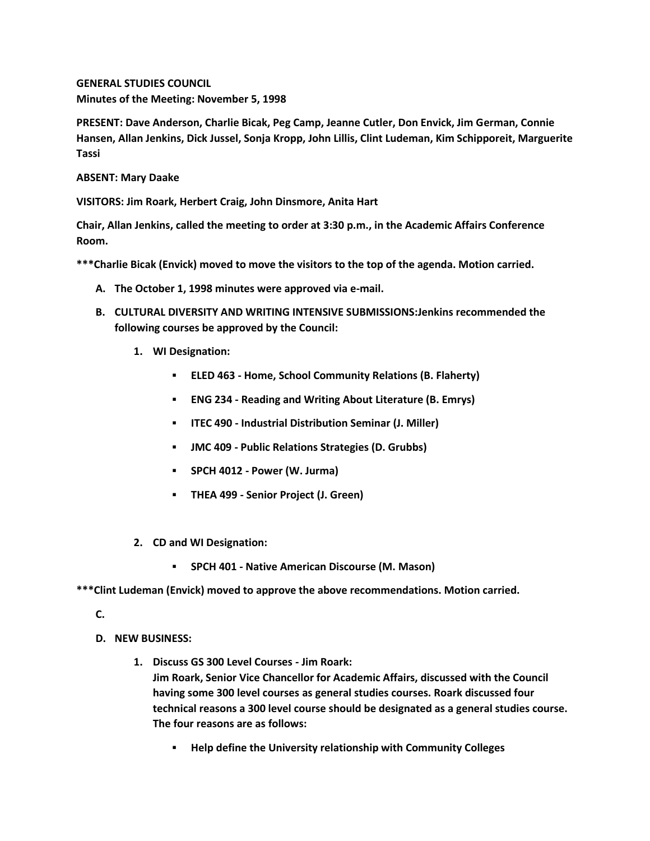**GENERAL STUDIES COUNCIL Minutes of the Meeting: November 5, 1998**

**PRESENT: Dave Anderson, Charlie Bicak, Peg Camp, Jeanne Cutler, Don Envick, Jim German, Connie Hansen, Allan Jenkins, Dick Jussel, Sonja Kropp, John Lillis, Clint Ludeman, Kim Schipporeit, Marguerite Tassi**

**ABSENT: Mary Daake**

**VISITORS: Jim Roark, Herbert Craig, John Dinsmore, Anita Hart**

**Chair, Allan Jenkins, called the meeting to order at 3:30 p.m., in the Academic Affairs Conference Room.**

**\*\*\*Charlie Bicak (Envick) moved to move the visitors to the top of the agenda. Motion carried.**

- **A. The October 1, 1998 minutes were approved via e-mail.**
- **B. CULTURAL DIVERSITY AND WRITING INTENSIVE SUBMISSIONS:Jenkins recommended the following courses be approved by the Council:** 
	- **1. WI Designation:** 
		- **ELED 463 - Home, School Community Relations (B. Flaherty)**
		- **ENG 234 - Reading and Writing About Literature (B. Emrys)**
		- **ITEC 490 - Industrial Distribution Seminar (J. Miller)**
		- **JMC 409 - Public Relations Strategies (D. Grubbs)**
		- **SPCH 4012 - Power (W. Jurma)**
		- **THEA 499 - Senior Project (J. Green)**
	- **2. CD and WI Designation:** 
		- **SPCH 401 - Native American Discourse (M. Mason)**

**\*\*\*Clint Ludeman (Envick) moved to approve the above recommendations. Motion carried.**

**C.**

- **D. NEW BUSINESS:**
	- **1. Discuss GS 300 Level Courses - Jim Roark: Jim Roark, Senior Vice Chancellor for Academic Affairs, discussed with the Council having some 300 level courses as general studies courses. Roark discussed four technical reasons a 300 level course should be designated as a general studies course. The four reasons are as follows:** 
		- **Help define the University relationship with Community Colleges**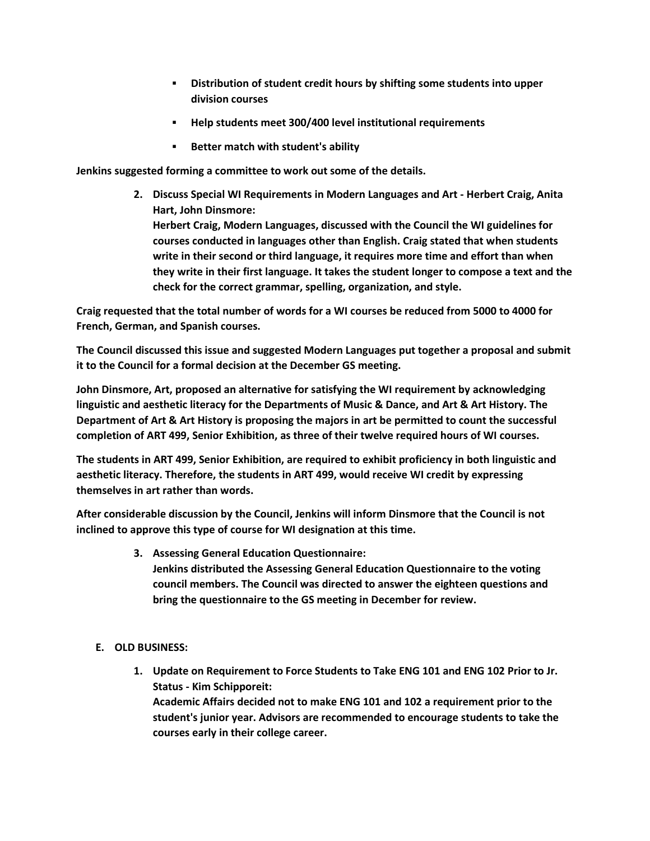- **Distribution of student credit hours by shifting some students into upper division courses**
- **Help students meet 300/400 level institutional requirements**
- **Better match with student's ability**

**Jenkins suggested forming a committee to work out some of the details.**

**2. Discuss Special WI Requirements in Modern Languages and Art - Herbert Craig, Anita Hart, John Dinsmore: Herbert Craig, Modern Languages, discussed with the Council the WI guidelines for courses conducted in languages other than English. Craig stated that when students write in their second or third language, it requires more time and effort than when they write in their first language. It takes the student longer to compose a text and the** 

**Craig requested that the total number of words for a WI courses be reduced from 5000 to 4000 for French, German, and Spanish courses.**

**check for the correct grammar, spelling, organization, and style.** 

**The Council discussed this issue and suggested Modern Languages put together a proposal and submit it to the Council for a formal decision at the December GS meeting.**

**John Dinsmore, Art, proposed an alternative for satisfying the WI requirement by acknowledging linguistic and aesthetic literacy for the Departments of Music & Dance, and Art & Art History. The Department of Art & Art History is proposing the majors in art be permitted to count the successful completion of ART 499, Senior Exhibition, as three of their twelve required hours of WI courses.**

**The students in ART 499, Senior Exhibition, are required to exhibit proficiency in both linguistic and aesthetic literacy. Therefore, the students in ART 499, would receive WI credit by expressing themselves in art rather than words.**

**After considerable discussion by the Council, Jenkins will inform Dinsmore that the Council is not inclined to approve this type of course for WI designation at this time.**

- **3. Assessing General Education Questionnaire: Jenkins distributed the Assessing General Education Questionnaire to the voting council members. The Council was directed to answer the eighteen questions and bring the questionnaire to the GS meeting in December for review.**
- **E. OLD BUSINESS:**
	- **1. Update on Requirement to Force Students to Take ENG 101 and ENG 102 Prior to Jr. Status - Kim Schipporeit: Academic Affairs decided not to make ENG 101 and 102 a requirement prior to the student's junior year. Advisors are recommended to encourage students to take the courses early in their college career.**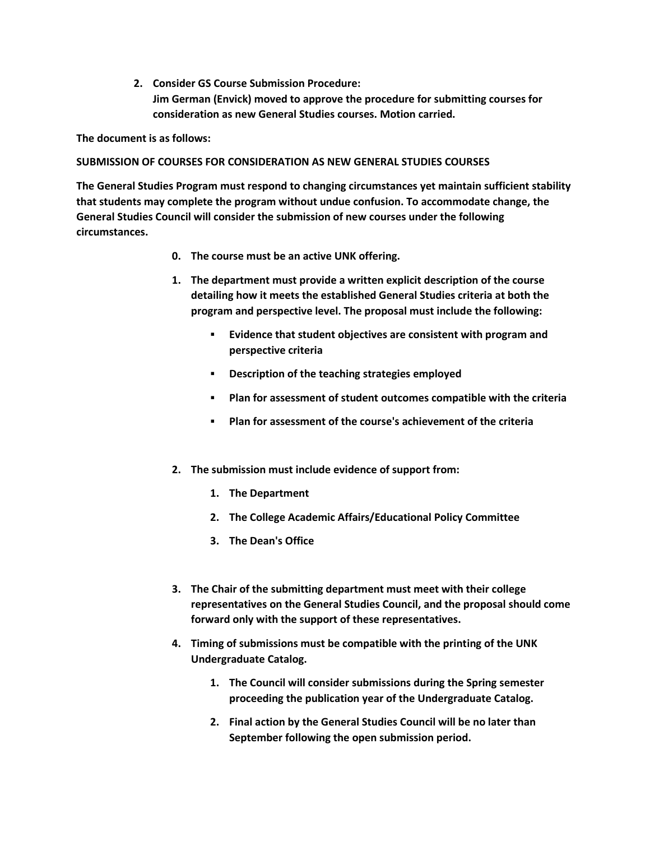**2. Consider GS Course Submission Procedure: Jim German (Envick) moved to approve the procedure for submitting courses for consideration as new General Studies courses. Motion carried.** 

**The document is as follows:**

## **SUBMISSION OF COURSES FOR CONSIDERATION AS NEW GENERAL STUDIES COURSES**

**The General Studies Program must respond to changing circumstances yet maintain sufficient stability that students may complete the program without undue confusion. To accommodate change, the General Studies Council will consider the submission of new courses under the following circumstances.**

- **0. The course must be an active UNK offering.**
- **1. The department must provide a written explicit description of the course detailing how it meets the established General Studies criteria at both the program and perspective level. The proposal must include the following:** 
	- **Evidence that student objectives are consistent with program and perspective criteria**
	- **Description of the teaching strategies employed**
	- **Plan for assessment of student outcomes compatible with the criteria**
	- **Plan for assessment of the course's achievement of the criteria**
- **2. The submission must include evidence of support from:** 
	- **1. The Department**
	- **2. The College Academic Affairs/Educational Policy Committee**
	- **3. The Dean's Office**
- **3. The Chair of the submitting department must meet with their college representatives on the General Studies Council, and the proposal should come forward only with the support of these representatives.**
- **4. Timing of submissions must be compatible with the printing of the UNK Undergraduate Catalog.** 
	- **1. The Council will consider submissions during the Spring semester proceeding the publication year of the Undergraduate Catalog.**
	- **2. Final action by the General Studies Council will be no later than September following the open submission period.**